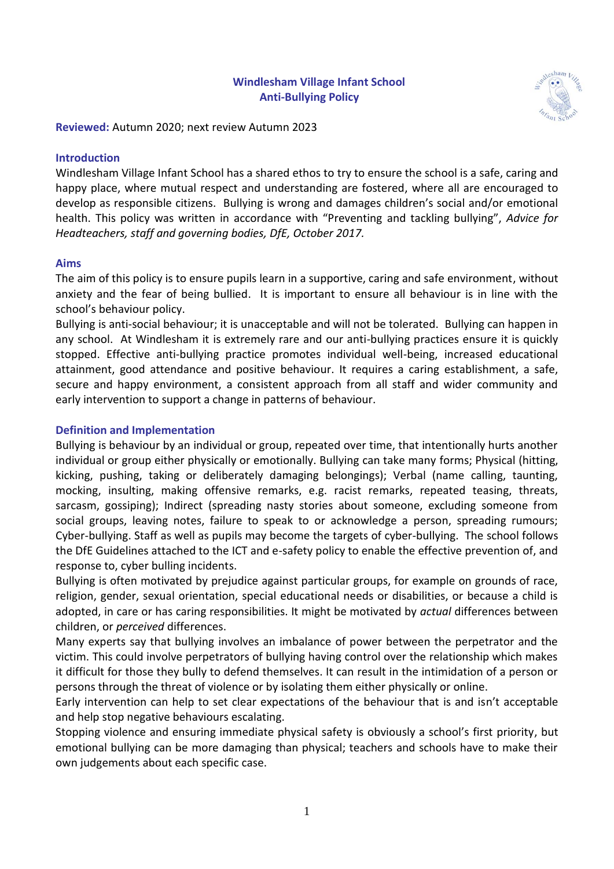#### **Windlesham Village Infant School Anti-Bullying Policy**



**Reviewed:** Autumn 2020; next review Autumn 2023

#### **Introduction**

Windlesham Village Infant School has a shared ethos to try to ensure the school is a safe, caring and happy place, where mutual respect and understanding are fostered, where all are encouraged to develop as responsible citizens. Bullying is wrong and damages children's social and/or emotional health. This policy was written in accordance with "Preventing and tackling bullying", *Advice for Headteachers, staff and governing bodies, DfE, October 2017.*

#### **Aims**

The aim of this policy is to ensure pupils learn in a supportive, caring and safe environment, without anxiety and the fear of being bullied. It is important to ensure all behaviour is in line with the school's behaviour policy.

Bullying is anti-social behaviour; it is unacceptable and will not be tolerated. Bullying can happen in any school. At Windlesham it is extremely rare and our anti-bullying practices ensure it is quickly stopped. Effective anti-bullying practice promotes individual well-being, increased educational attainment, good attendance and positive behaviour. It requires a caring establishment, a safe, secure and happy environment, a consistent approach from all staff and wider community and early intervention to support a change in patterns of behaviour.

#### **Definition and Implementation**

Bullying is behaviour by an individual or group, repeated over time, that intentionally hurts another individual or group either physically or emotionally. Bullying can take many forms; Physical (hitting, kicking, pushing, taking or deliberately damaging belongings); Verbal (name calling, taunting, mocking, insulting, making offensive remarks, e.g. racist remarks, repeated teasing, threats, sarcasm, gossiping); Indirect (spreading nasty stories about someone, excluding someone from social groups, leaving notes, failure to speak to or acknowledge a person, spreading rumours; Cyber-bullying. Staff as well as pupils may become the targets of cyber-bullying. The school follows the DfE Guidelines attached to the ICT and e-safety policy to enable the effective prevention of, and response to, cyber bulling incidents.

Bullying is often motivated by prejudice against particular groups, for example on grounds of race, religion, gender, sexual orientation, special educational needs or disabilities, or because a child is adopted, in care or has caring responsibilities. It might be motivated by *actual* differences between children, or *perceived* differences.

Many experts say that bullying involves an imbalance of power between the perpetrator and the victim. This could involve perpetrators of bullying having control over the relationship which makes it difficult for those they bully to defend themselves. It can result in the intimidation of a person or persons through the threat of violence or by isolating them either physically or online.

Early intervention can help to set clear expectations of the behaviour that is and isn't acceptable and help stop negative behaviours escalating.

Stopping violence and ensuring immediate physical safety is obviously a school's first priority, but emotional bullying can be more damaging than physical; teachers and schools have to make their own judgements about each specific case.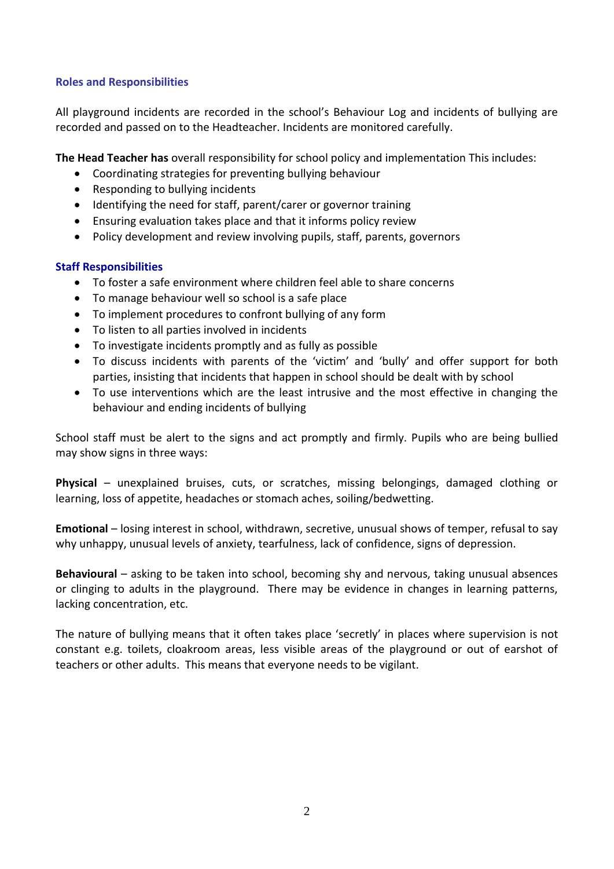#### **Roles and Responsibilities**

All playground incidents are recorded in the school's Behaviour Log and incidents of bullying are recorded and passed on to the Headteacher. Incidents are monitored carefully.

**The Head Teacher has** overall responsibility for school policy and implementation This includes:

- Coordinating strategies for preventing bullying behaviour
- Responding to bullying incidents
- Identifying the need for staff, parent/carer or governor training
- Ensuring evaluation takes place and that it informs policy review
- Policy development and review involving pupils, staff, parents, governors

#### **Staff Responsibilities**

- To foster a safe environment where children feel able to share concerns
- To manage behaviour well so school is a safe place
- To implement procedures to confront bullying of any form
- To listen to all parties involved in incidents
- To investigate incidents promptly and as fully as possible
- To discuss incidents with parents of the 'victim' and 'bully' and offer support for both parties, insisting that incidents that happen in school should be dealt with by school
- To use interventions which are the least intrusive and the most effective in changing the behaviour and ending incidents of bullying

School staff must be alert to the signs and act promptly and firmly. Pupils who are being bullied may show signs in three ways:

**Physical** – unexplained bruises, cuts, or scratches, missing belongings, damaged clothing or learning, loss of appetite, headaches or stomach aches, soiling/bedwetting.

**Emotional** – losing interest in school, withdrawn, secretive, unusual shows of temper, refusal to say why unhappy, unusual levels of anxiety, tearfulness, lack of confidence, signs of depression.

**Behavioural** – asking to be taken into school, becoming shy and nervous, taking unusual absences or clinging to adults in the playground. There may be evidence in changes in learning patterns, lacking concentration, etc.

The nature of bullying means that it often takes place 'secretly' in places where supervision is not constant e.g. toilets, cloakroom areas, less visible areas of the playground or out of earshot of teachers or other adults. This means that everyone needs to be vigilant.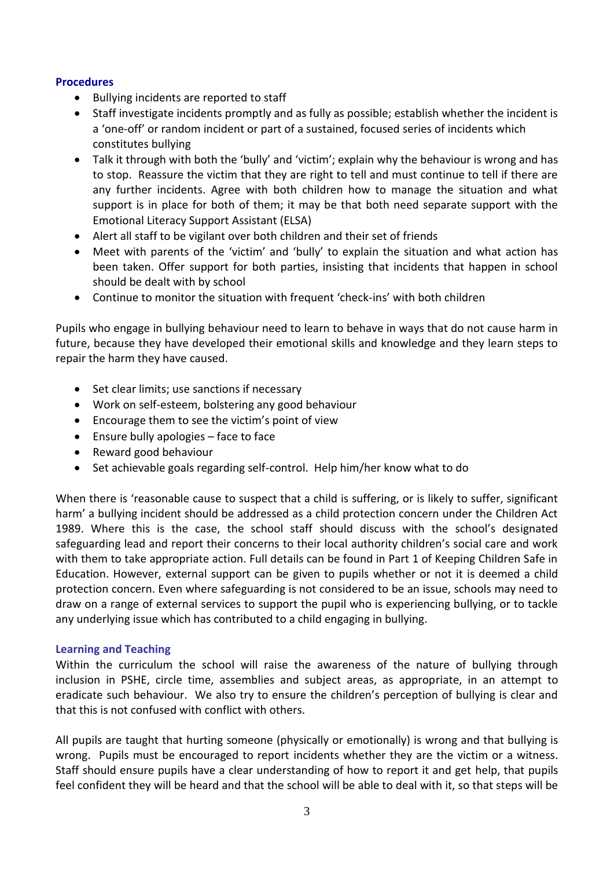#### **Procedures**

- Bullying incidents are reported to staff
- Staff investigate incidents promptly and as fully as possible; establish whether the incident is a 'one-off' or random incident or part of a sustained, focused series of incidents which constitutes bullying
- Talk it through with both the 'bully' and 'victim'; explain why the behaviour is wrong and has to stop. Reassure the victim that they are right to tell and must continue to tell if there are any further incidents. Agree with both children how to manage the situation and what support is in place for both of them; it may be that both need separate support with the Emotional Literacy Support Assistant (ELSA)
- Alert all staff to be vigilant over both children and their set of friends
- Meet with parents of the 'victim' and 'bully' to explain the situation and what action has been taken. Offer support for both parties, insisting that incidents that happen in school should be dealt with by school
- Continue to monitor the situation with frequent 'check-ins' with both children

Pupils who engage in bullying behaviour need to learn to behave in ways that do not cause harm in future, because they have developed their emotional skills and knowledge and they learn steps to repair the harm they have caused.

- Set clear limits; use sanctions if necessary
- Work on self-esteem, bolstering any good behaviour
- Encourage them to see the victim's point of view
- Ensure bully apologies face to face
- Reward good behaviour
- Set achievable goals regarding self-control. Help him/her know what to do

When there is 'reasonable cause to suspect that a child is suffering, or is likely to suffer, significant harm' a bullying incident should be addressed as a child protection concern under the Children Act 1989. Where this is the case, the school staff should discuss with the school's designated safeguarding lead and report their concerns to their local authority children's social care and work with them to take appropriate action. Full details can be found in Part 1 of Keeping Children Safe in Education. However, external support can be given to pupils whether or not it is deemed a child protection concern. Even where safeguarding is not considered to be an issue, schools may need to draw on a range of external services to support the pupil who is experiencing bullying, or to tackle any underlying issue which has contributed to a child engaging in bullying.

#### **Learning and Teaching**

Within the curriculum the school will raise the awareness of the nature of bullying through inclusion in PSHE, circle time, assemblies and subject areas, as appropriate, in an attempt to eradicate such behaviour. We also try to ensure the children's perception of bullying is clear and that this is not confused with conflict with others.

All pupils are taught that hurting someone (physically or emotionally) is wrong and that bullying is wrong. Pupils must be encouraged to report incidents whether they are the victim or a witness. Staff should ensure pupils have a clear understanding of how to report it and get help, that pupils feel confident they will be heard and that the school will be able to deal with it, so that steps will be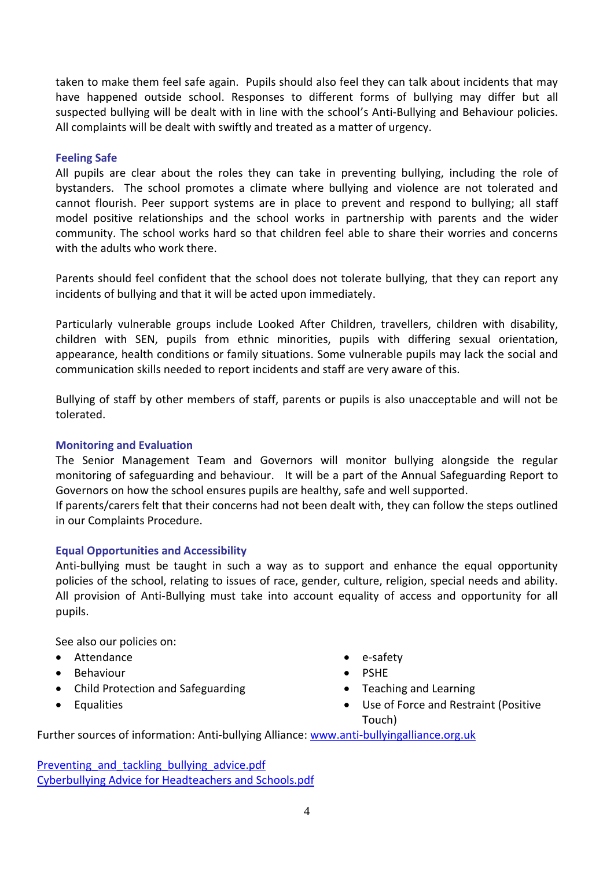taken to make them feel safe again. Pupils should also feel they can talk about incidents that may have happened outside school. Responses to different forms of bullying may differ but all suspected bullying will be dealt with in line with the school's Anti-Bullying and Behaviour policies. All complaints will be dealt with swiftly and treated as a matter of urgency.

#### **Feeling Safe**

All pupils are clear about the roles they can take in preventing bullying, including the role of bystanders. The school promotes a climate where bullying and violence are not tolerated and cannot flourish. Peer support systems are in place to prevent and respond to bullying; all staff model positive relationships and the school works in partnership with parents and the wider community. The school works hard so that children feel able to share their worries and concerns with the adults who work there.

Parents should feel confident that the school does not tolerate bullying, that they can report any incidents of bullying and that it will be acted upon immediately.

Particularly vulnerable groups include Looked After Children, travellers, children with disability, children with SEN, pupils from ethnic minorities, pupils with differing sexual orientation, appearance, health conditions or family situations. Some vulnerable pupils may lack the social and communication skills needed to report incidents and staff are very aware of this.

Bullying of staff by other members of staff, parents or pupils is also unacceptable and will not be tolerated.

#### **Monitoring and Evaluation**

The Senior Management Team and Governors will monitor bullying alongside the regular monitoring of safeguarding and behaviour. It will be a part of the Annual Safeguarding Report to Governors on how the school ensures pupils are healthy, safe and well supported.

If parents/carers felt that their concerns had not been dealt with, they can follow the steps outlined in our Complaints Procedure.

#### **Equal Opportunities and Accessibility**

Anti-bullying must be taught in such a way as to support and enhance the equal opportunity policies of the school, relating to issues of race, gender, culture, religion, special needs and ability. All provision of Anti-Bullying must take into account equality of access and opportunity for all pupils.

See also our policies on:

- Attendance
- Behaviour
- Child Protection and Safeguarding
- Equalities
- e-safety
- PSHE
- Teaching and Learning
- Use of Force and Restraint (Positive Touch)

Further sources of information: Anti-bullying Alliance[: www.anti-bullyingalliance.org.uk](http://www.anti-bullyingalliance.org.uk/)

Preventing and tackling bullying advice.pdf [Cyberbullying Advice for Headteachers and Schools.pdf](https://assets.publishing.service.gov.uk/government/uploads/system/uploads/attachment_data/file/374850/Cyberbullying_Advice_for_Headteachers_and_School_Staff_121114.pdf)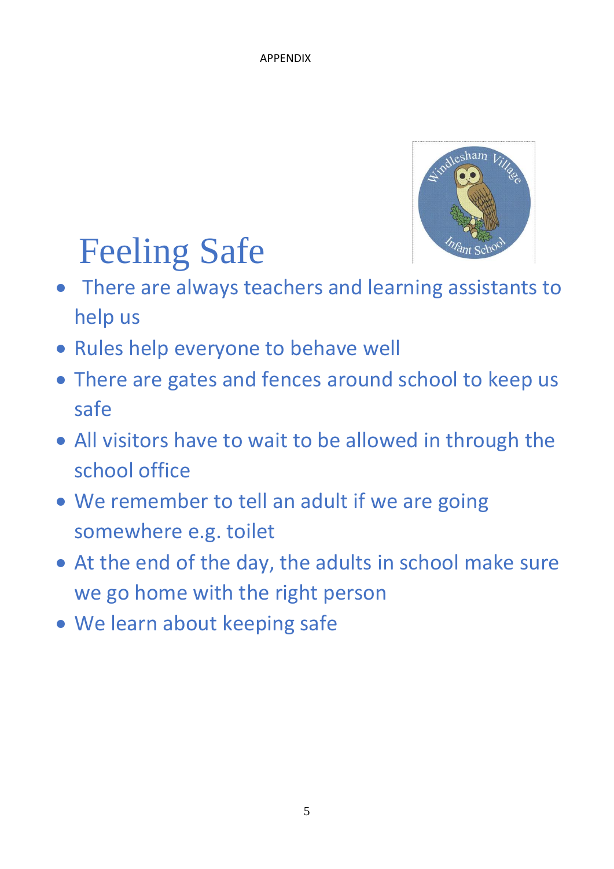

# Feeling Safe

- There are always teachers and learning assistants to help us
- Rules help everyone to behave well
- There are gates and fences around school to keep us safe
- All visitors have to wait to be allowed in through the school office
- We remember to tell an adult if we are going somewhere e.g. toilet
- At the end of the day, the adults in school make sure we go home with the right person
- We learn about keeping safe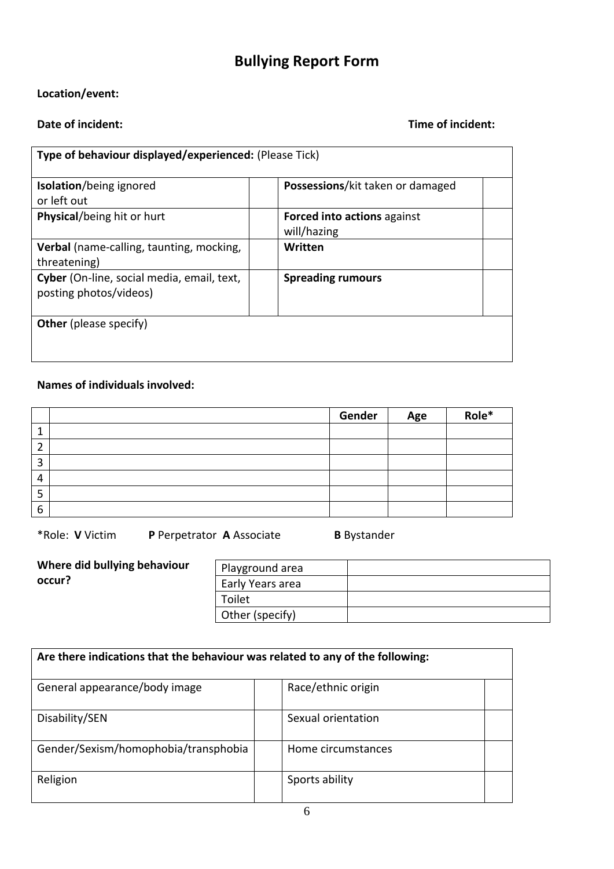## **Bullying Report Form**

#### **Location/event:**

#### **Date of incident: Date of incident: Date of incident: Time of incident:**

| Type of behaviour displayed/experienced: (Please Tick)               |                                                   |  |  |
|----------------------------------------------------------------------|---------------------------------------------------|--|--|
| <b>Isolation/being ignored</b>                                       | Possessions/kit taken or damaged                  |  |  |
| or left out                                                          |                                                   |  |  |
| Physical/being hit or hurt                                           | <b>Forced into actions against</b><br>will/hazing |  |  |
| <b>Verbal</b> (name-calling, taunting, mocking,                      | Written                                           |  |  |
| threatening)                                                         |                                                   |  |  |
| Cyber (On-line, social media, email, text,<br>posting photos/videos) | <b>Spreading rumours</b>                          |  |  |
| <b>Other</b> (please specify)                                        |                                                   |  |  |
|                                                                      |                                                   |  |  |

### **Names of individuals involved:**

|                          | Gender | Age | Role* |
|--------------------------|--------|-----|-------|
|                          |        |     |       |
|                          |        |     |       |
| э                        |        |     |       |
| $\overline{\phantom{a}}$ |        |     |       |
| э                        |        |     |       |
| 6                        |        |     |       |

\*Role: **V** Victim **P** Perpetrator **A** Associate **B** Bystander

|        |  | Where did bullying behaviour |
|--------|--|------------------------------|
| occur? |  |                              |

| Playground area  |  |
|------------------|--|
| Early Years area |  |
| Toilet           |  |
| Other (specify)  |  |

| Are there indications that the behaviour was related to any of the following: |  |                    |  |
|-------------------------------------------------------------------------------|--|--------------------|--|
| General appearance/body image                                                 |  | Race/ethnic origin |  |
| Disability/SEN                                                                |  | Sexual orientation |  |
| Gender/Sexism/homophobia/transphobia                                          |  | Home circumstances |  |
| Religion                                                                      |  | Sports ability     |  |